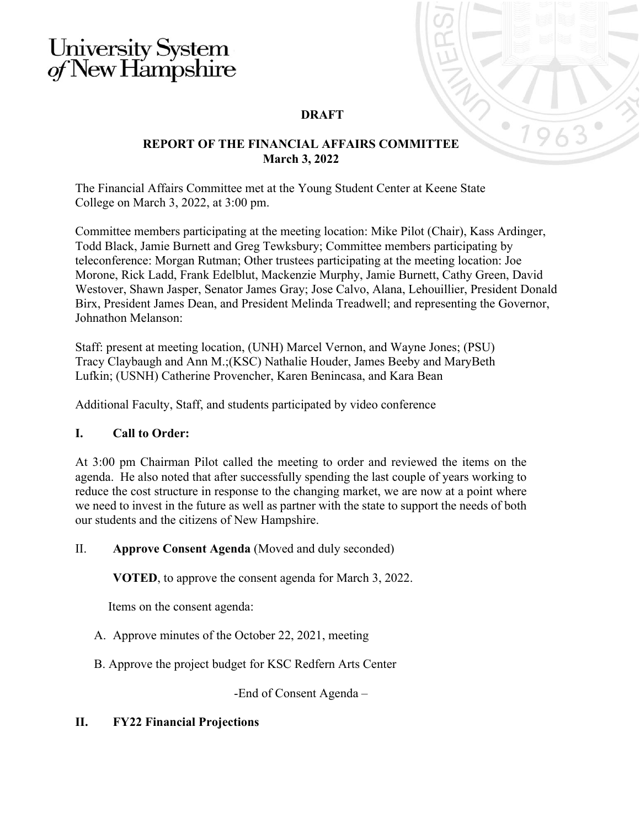# University System<br>of New Hampshire

## **DRAFT**

#### **REPORT OF THE FINANCIAL AFFAIRS COMMITTEE March 3, 2022**

The Financial Affairs Committee met at the Young Student Center at Keene State College on March 3, 2022, at 3:00 pm.

Committee members participating at the meeting location: Mike Pilot (Chair), Kass Ardinger, Todd Black, Jamie Burnett and Greg Tewksbury; Committee members participating by teleconference: Morgan Rutman; Other trustees participating at the meeting location: Joe Morone, Rick Ladd, Frank Edelblut, Mackenzie Murphy, Jamie Burnett, Cathy Green, David Westover, Shawn Jasper, Senator James Gray; Jose Calvo, Alana, Lehouillier, President Donald Birx, President James Dean, and President Melinda Treadwell; and representing the Governor, Johnathon Melanson:

Staff: present at meeting location, (UNH) Marcel Vernon, and Wayne Jones; (PSU) Tracy Claybaugh and Ann M.;(KSC) Nathalie Houder, James Beeby and MaryBeth Lufkin; (USNH) Catherine Provencher, Karen Benincasa, and Kara Bean

Additional Faculty, Staff, and students participated by video conference

## **I. Call to Order:**

At 3:00 pm Chairman Pilot called the meeting to order and reviewed the items on the agenda. He also noted that after successfully spending the last couple of years working to reduce the cost structure in response to the changing market, we are now at a point where we need to invest in the future as well as partner with the state to support the needs of both our students and the citizens of New Hampshire.

## II. **Approve Consent Agenda** (Moved and duly seconded)

**VOTED**, to approve the consent agenda for March 3, 2022.

Items on the consent agenda:

- A. Approve minutes of the October 22, 2021, meeting
- B. Approve the project budget for KSC Redfern Arts Center

-End of Consent Agenda –

## **II. FY22 Financial Projections**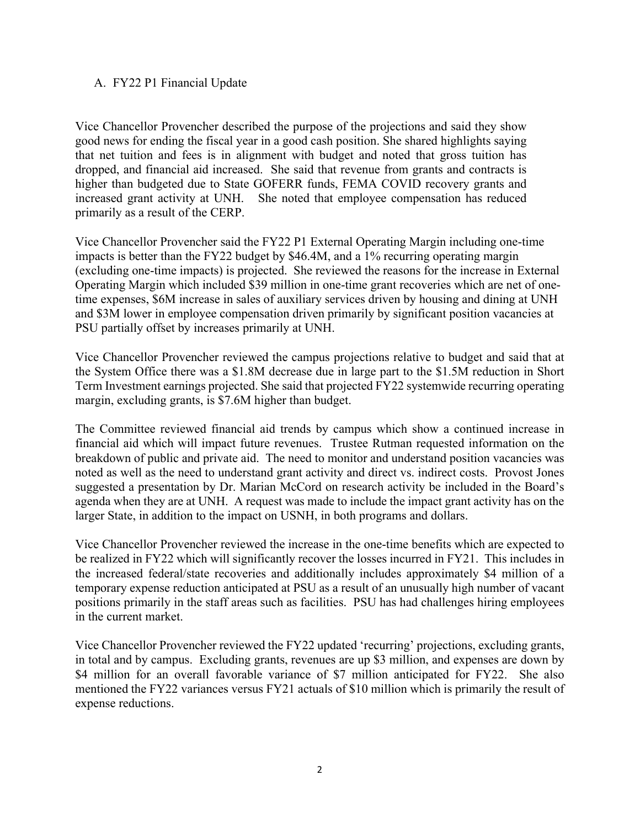#### A. FY22 P1 Financial Update

Vice Chancellor Provencher described the purpose of the projections and said they show good news for ending the fiscal year in a good cash position. She shared highlights saying that net tuition and fees is in alignment with budget and noted that gross tuition has dropped, and financial aid increased. She said that revenue from grants and contracts is higher than budgeted due to State GOFERR funds, FEMA COVID recovery grants and increased grant activity at UNH. She noted that employee compensation has reduced primarily as a result of the CERP.

Vice Chancellor Provencher said the FY22 P1 External Operating Margin including one-time impacts is better than the FY22 budget by \$46.4M, and a 1% recurring operating margin (excluding one-time impacts) is projected. She reviewed the reasons for the increase in External Operating Margin which included \$39 million in one-time grant recoveries which are net of onetime expenses, \$6M increase in sales of auxiliary services driven by housing and dining at UNH and \$3M lower in employee compensation driven primarily by significant position vacancies at PSU partially offset by increases primarily at UNH.

Vice Chancellor Provencher reviewed the campus projections relative to budget and said that at the System Office there was a \$1.8M decrease due in large part to the \$1.5M reduction in Short Term Investment earnings projected. She said that projected FY22 systemwide recurring operating margin, excluding grants, is \$7.6M higher than budget.

The Committee reviewed financial aid trends by campus which show a continued increase in financial aid which will impact future revenues. Trustee Rutman requested information on the breakdown of public and private aid. The need to monitor and understand position vacancies was noted as well as the need to understand grant activity and direct vs. indirect costs. Provost Jones suggested a presentation by Dr. Marian McCord on research activity be included in the Board's agenda when they are at UNH. A request was made to include the impact grant activity has on the larger State, in addition to the impact on USNH, in both programs and dollars.

Vice Chancellor Provencher reviewed the increase in the one-time benefits which are expected to be realized in FY22 which will significantly recover the losses incurred in FY21. This includes in the increased federal/state recoveries and additionally includes approximately \$4 million of a temporary expense reduction anticipated at PSU as a result of an unusually high number of vacant positions primarily in the staff areas such as facilities. PSU has had challenges hiring employees in the current market.

Vice Chancellor Provencher reviewed the FY22 updated 'recurring' projections, excluding grants, in total and by campus. Excluding grants, revenues are up \$3 million, and expenses are down by \$4 million for an overall favorable variance of \$7 million anticipated for FY22. She also mentioned the FY22 variances versus FY21 actuals of \$10 million which is primarily the result of expense reductions.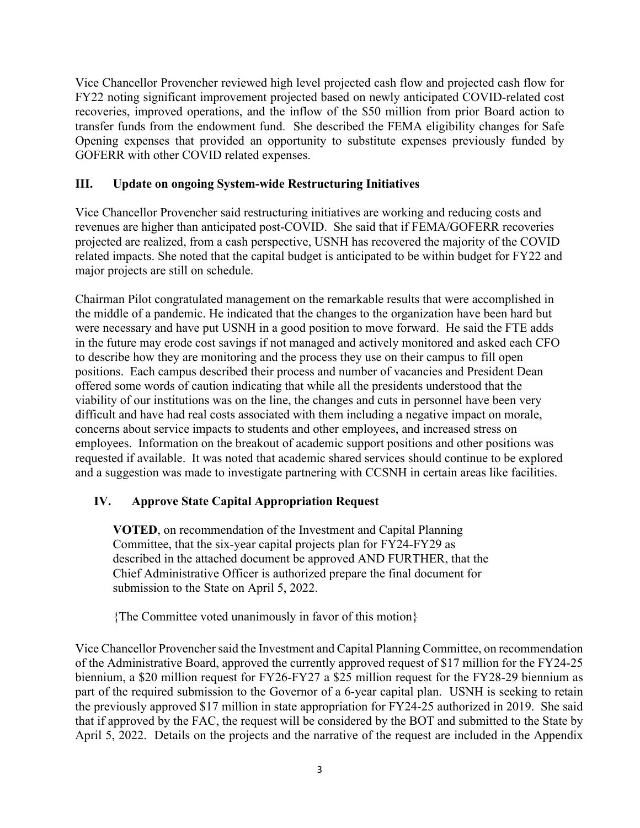Vice Chancellor Provencher reviewed high level projected cash flow and projected cash flow for FY22 noting significant improvement projected based on newly anticipated COVID-related cost recoveries, improved operations, and the inflow of the \$50 million from prior Board action to transfer funds from the endowment fund. She described the FEMA eligibility changes for Safe Opening expenses that provided an opportunity to substitute expenses previously funded by GOFERR with other COVID related expenses.

# **III. Update on ongoing System-wide Restructuring Initiatives**

Vice Chancellor Provencher said restructuring initiatives are working and reducing costs and revenues are higher than anticipated post-COVID. She said that if FEMA/GOFERR recoveries projected are realized, from a cash perspective, USNH has recovered the majority of the COVID related impacts. She noted that the capital budget is anticipated to be within budget for FY22 and major projects are still on schedule.

Chairman Pilot congratulated management on the remarkable results that were accomplished in the middle of a pandemic. He indicated that the changes to the organization have been hard but were necessary and have put USNH in a good position to move forward. He said the FTE adds in the future may erode cost savings if not managed and actively monitored and asked each CFO to describe how they are monitoring and the process they use on their campus to fill open positions. Each campus described their process and number of vacancies and President Dean offered some words of caution indicating that while all the presidents understood that the viability of our institutions was on the line, the changes and cuts in personnel have been very difficult and have had real costs associated with them including a negative impact on morale, concerns about service impacts to students and other employees, and increased stress on employees. Information on the breakout of academic support positions and other positions was requested if available. It was noted that academic shared services should continue to be explored and a suggestion was made to investigate partnering with CCSNH in certain areas like facilities.

# **IV. Approve State Capital Appropriation Request**

**VOTED**, on recommendation of the Investment and Capital Planning Committee, that the six-year capital projects plan for FY24-FY29 as described in the attached document be approved AND FURTHER, that the Chief Administrative Officer is authorized prepare the final document for submission to the State on April 5, 2022.

{The Committee voted unanimously in favor of this motion}

Vice Chancellor Provencher said the Investment and Capital Planning Committee, on recommendation of the Administrative Board, approved the currently approved request of \$17 million for the FY24-25 biennium, a \$20 million request for FY26-FY27 a \$25 million request for the FY28-29 biennium as part of the required submission to the Governor of a 6-year capital plan. USNH is seeking to retain the previously approved \$17 million in state appropriation for FY24-25 authorized in 2019. She said that if approved by the FAC, the request will be considered by the BOT and submitted to the State by April 5, 2022. Details on the projects and the narrative of the request are included in the Appendix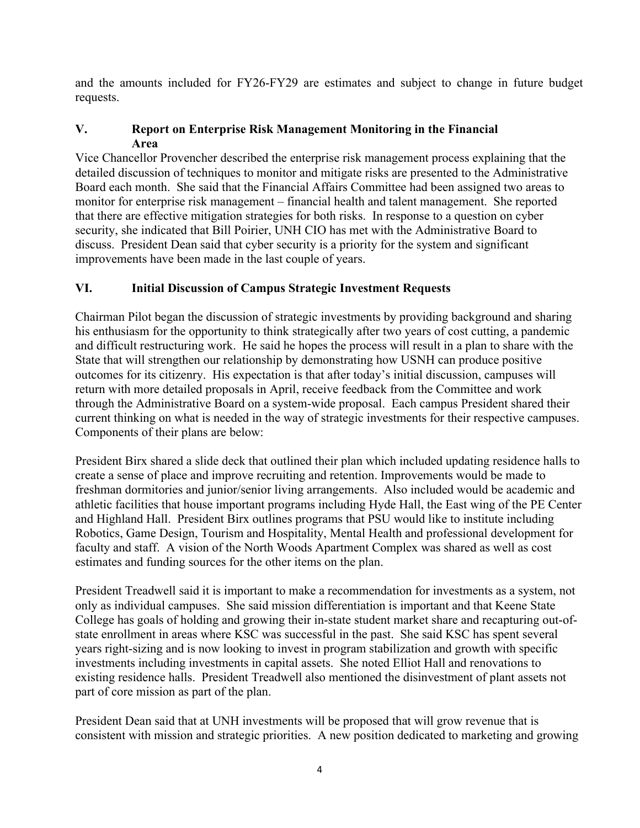and the amounts included for FY26-FY29 are estimates and subject to change in future budget requests.

# **V. Report on Enterprise Risk Management Monitoring in the Financial Area**

Vice Chancellor Provencher described the enterprise risk management process explaining that the detailed discussion of techniques to monitor and mitigate risks are presented to the Administrative Board each month. She said that the Financial Affairs Committee had been assigned two areas to monitor for enterprise risk management – financial health and talent management. She reported that there are effective mitigation strategies for both risks. In response to a question on cyber security, she indicated that Bill Poirier, UNH CIO has met with the Administrative Board to discuss. President Dean said that cyber security is a priority for the system and significant improvements have been made in the last couple of years.

# **VI. Initial Discussion of Campus Strategic Investment Requests**

Chairman Pilot began the discussion of strategic investments by providing background and sharing his enthusiasm for the opportunity to think strategically after two years of cost cutting, a pandemic and difficult restructuring work. He said he hopes the process will result in a plan to share with the State that will strengthen our relationship by demonstrating how USNH can produce positive outcomes for its citizenry. His expectation is that after today's initial discussion, campuses will return with more detailed proposals in April, receive feedback from the Committee and work through the Administrative Board on a system-wide proposal. Each campus President shared their current thinking on what is needed in the way of strategic investments for their respective campuses. Components of their plans are below:

President Birx shared a slide deck that outlined their plan which included updating residence halls to create a sense of place and improve recruiting and retention. Improvements would be made to freshman dormitories and junior/senior living arrangements. Also included would be academic and athletic facilities that house important programs including Hyde Hall, the East wing of the PE Center and Highland Hall. President Birx outlines programs that PSU would like to institute including Robotics, Game Design, Tourism and Hospitality, Mental Health and professional development for faculty and staff. A vision of the North Woods Apartment Complex was shared as well as cost estimates and funding sources for the other items on the plan.

President Treadwell said it is important to make a recommendation for investments as a system, not only as individual campuses. She said mission differentiation is important and that Keene State College has goals of holding and growing their in-state student market share and recapturing out-ofstate enrollment in areas where KSC was successful in the past. She said KSC has spent several years right-sizing and is now looking to invest in program stabilization and growth with specific investments including investments in capital assets. She noted Elliot Hall and renovations to existing residence halls. President Treadwell also mentioned the disinvestment of plant assets not part of core mission as part of the plan.

President Dean said that at UNH investments will be proposed that will grow revenue that is consistent with mission and strategic priorities. A new position dedicated to marketing and growing